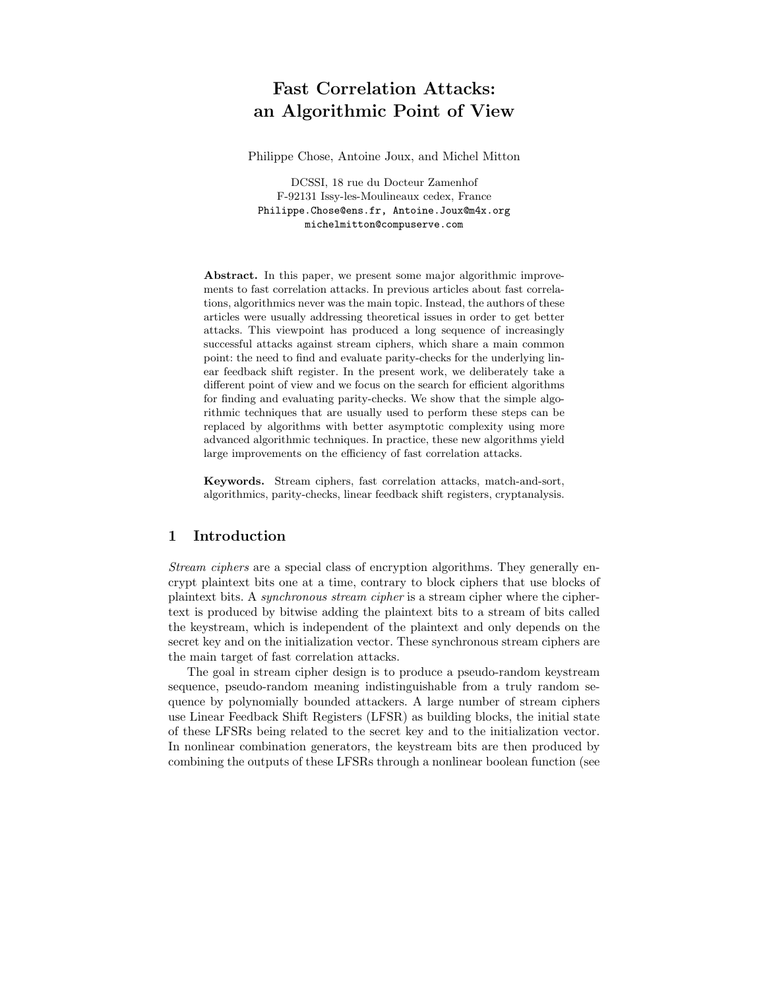# Fast Correlation Attacks: an Algorithmic Point of View

Philippe Chose, Antoine Joux, and Michel Mitton

DCSSI, 18 rue du Docteur Zamenhof F-92131 Issy-les-Moulineaux cedex, France Philippe.Chose@ens.fr, Antoine.Joux@m4x.org michelmitton@compuserve.com

Abstract. In this paper, we present some major algorithmic improvements to fast correlation attacks. In previous articles about fast correlations, algorithmics never was the main topic. Instead, the authors of these articles were usually addressing theoretical issues in order to get better attacks. This viewpoint has produced a long sequence of increasingly successful attacks against stream ciphers, which share a main common point: the need to find and evaluate parity-checks for the underlying linear feedback shift register. In the present work, we deliberately take a different point of view and we focus on the search for efficient algorithms for finding and evaluating parity-checks. We show that the simple algorithmic techniques that are usually used to perform these steps can be replaced by algorithms with better asymptotic complexity using more advanced algorithmic techniques. In practice, these new algorithms yield large improvements on the efficiency of fast correlation attacks.

Keywords. Stream ciphers, fast correlation attacks, match-and-sort, algorithmics, parity-checks, linear feedback shift registers, cryptanalysis.

## 1 Introduction

Stream ciphers are a special class of encryption algorithms. They generally encrypt plaintext bits one at a time, contrary to block ciphers that use blocks of plaintext bits. A synchronous stream cipher is a stream cipher where the ciphertext is produced by bitwise adding the plaintext bits to a stream of bits called the keystream, which is independent of the plaintext and only depends on the secret key and on the initialization vector. These synchronous stream ciphers are the main target of fast correlation attacks.

The goal in stream cipher design is to produce a pseudo-random keystream sequence, pseudo-random meaning indistinguishable from a truly random sequence by polynomially bounded attackers. A large number of stream ciphers use Linear Feedback Shift Registers (LFSR) as building blocks, the initial state of these LFSRs being related to the secret key and to the initialization vector. In nonlinear combination generators, the keystream bits are then produced by combining the outputs of these LFSRs through a nonlinear boolean function (see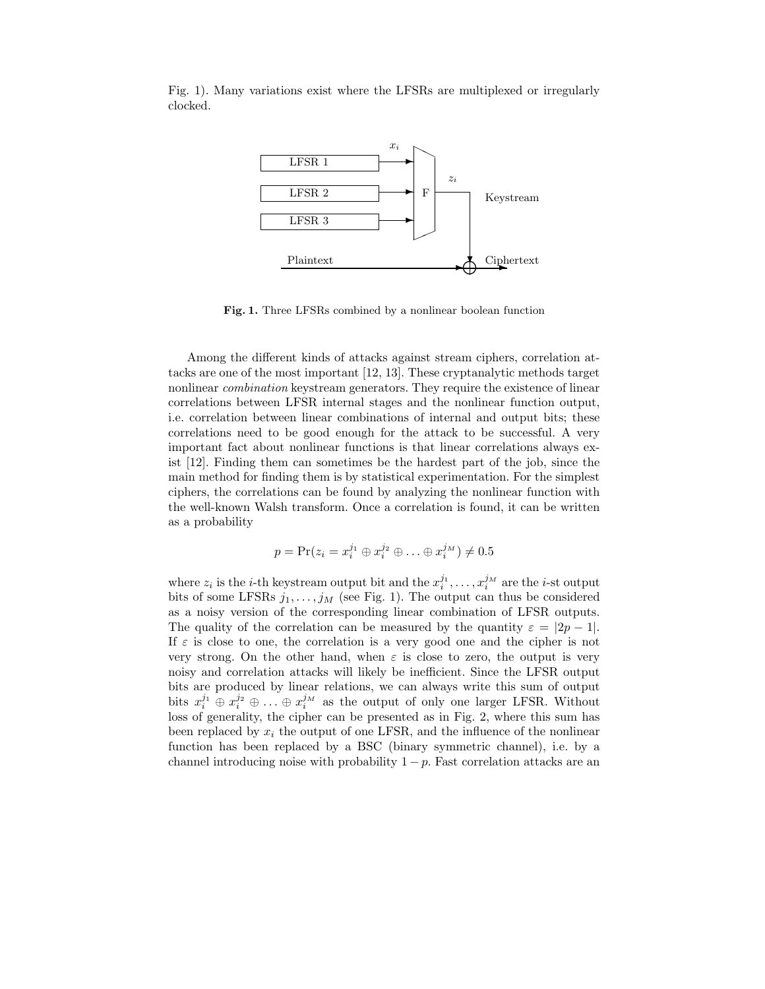Fig. 1). Many variations exist where the LFSRs are multiplexed or irregularly clocked.



Fig. 1. Three LFSRs combined by a nonlinear boolean function

Among the different kinds of attacks against stream ciphers, correlation attacks are one of the most important [12, 13]. These cryptanalytic methods target nonlinear *combination* keystream generators. They require the existence of linear correlations between LFSR internal stages and the nonlinear function output, i.e. correlation between linear combinations of internal and output bits; these correlations need to be good enough for the attack to be successful. A very important fact about nonlinear functions is that linear correlations always exist [12]. Finding them can sometimes be the hardest part of the job, since the main method for finding them is by statistical experimentation. For the simplest ciphers, the correlations can be found by analyzing the nonlinear function with the well-known Walsh transform. Once a correlation is found, it can be written as a probability

$$
p = \Pr(z_i = x_i^{j_1} \oplus x_i^{j_2} \oplus \ldots \oplus x_i^{j_M}) \neq 0.5
$$

where  $z_i$  is the *i*-th keystream output bit and the  $x_i^{j_1}, \ldots, x_i^{j_M}$  are the *i*-st output bits of some LFSRs  $j_1, \ldots, j_M$  (see Fig. 1). The output can thus be considered as a noisy version of the corresponding linear combination of LFSR outputs. The quality of the correlation can be measured by the quantity  $\varepsilon = |2p - 1|$ . If  $\varepsilon$  is close to one, the correlation is a very good one and the cipher is not very strong. On the other hand, when  $\varepsilon$  is close to zero, the output is very noisy and correlation attacks will likely be inefficient. Since the LFSR output bits are produced by linear relations, we can always write this sum of output bits  $x_i^{j_1} \oplus x_i^{j_2} \oplus \ldots \oplus x_i^{j_M}$  as the output of only one larger LFSR. Without loss of generality, the cipher can be presented as in Fig. 2, where this sum has been replaced by  $x_i$  the output of one LFSR, and the influence of the nonlinear function has been replaced by a BSC (binary symmetric channel), i.e. by a channel introducing noise with probability  $1 - p$ . Fast correlation attacks are an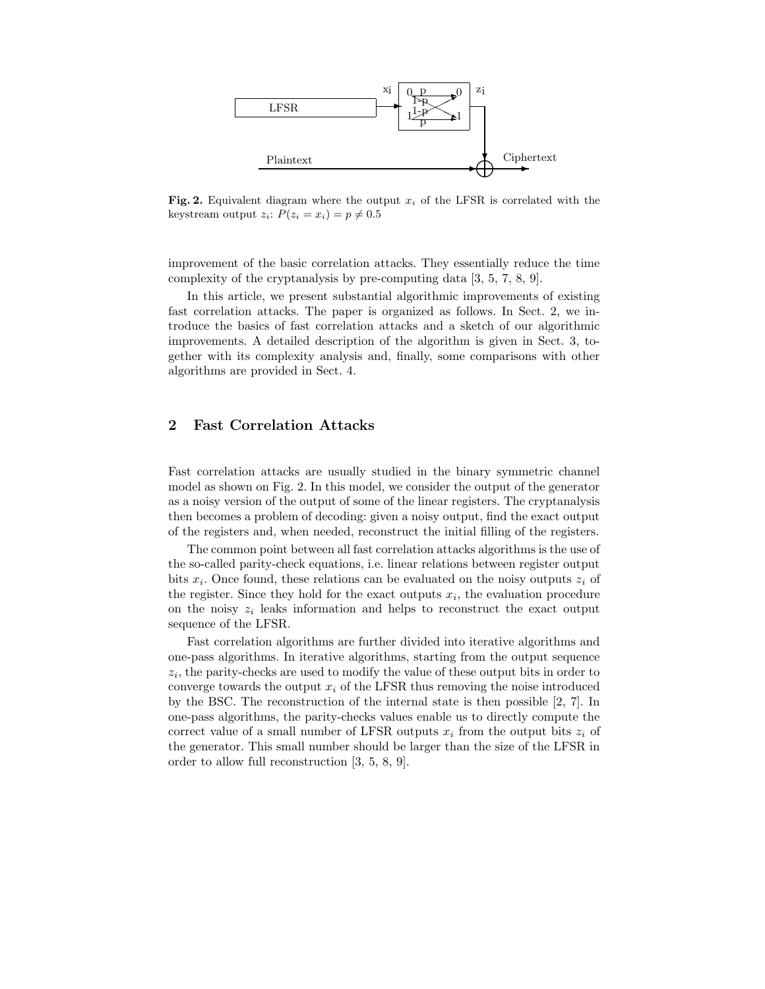

Fig. 2. Equivalent diagram where the output  $x_i$  of the LFSR is correlated with the keystream output  $z_i$ :  $P(z_i = x_i) = p \neq 0.5$ 

improvement of the basic correlation attacks. They essentially reduce the time complexity of the cryptanalysis by pre-computing data [3, 5, 7, 8, 9].

In this article, we present substantial algorithmic improvements of existing fast correlation attacks. The paper is organized as follows. In Sect. 2, we introduce the basics of fast correlation attacks and a sketch of our algorithmic improvements. A detailed description of the algorithm is given in Sect. 3, together with its complexity analysis and, finally, some comparisons with other algorithms are provided in Sect. 4.

# 2 Fast Correlation Attacks

Fast correlation attacks are usually studied in the binary symmetric channel model as shown on Fig. 2. In this model, we consider the output of the generator as a noisy version of the output of some of the linear registers. The cryptanalysis then becomes a problem of decoding: given a noisy output, find the exact output of the registers and, when needed, reconstruct the initial filling of the registers.

The common point between all fast correlation attacks algorithms is the use of the so-called parity-check equations, i.e. linear relations between register output bits  $x_i$ . Once found, these relations can be evaluated on the noisy outputs  $z_i$  of the register. Since they hold for the exact outputs  $x_i$ , the evaluation procedure on the noisy  $z_i$  leaks information and helps to reconstruct the exact output sequence of the LFSR.

Fast correlation algorithms are further divided into iterative algorithms and one-pass algorithms. In iterative algorithms, starting from the output sequence  $z_i$ , the parity-checks are used to modify the value of these output bits in order to converge towards the output  $x_i$  of the LFSR thus removing the noise introduced by the BSC. The reconstruction of the internal state is then possible [2, 7]. In one-pass algorithms, the parity-checks values enable us to directly compute the correct value of a small number of LFSR outputs  $x_i$  from the output bits  $z_i$  of the generator. This small number should be larger than the size of the LFSR in order to allow full reconstruction [3, 5, 8, 9].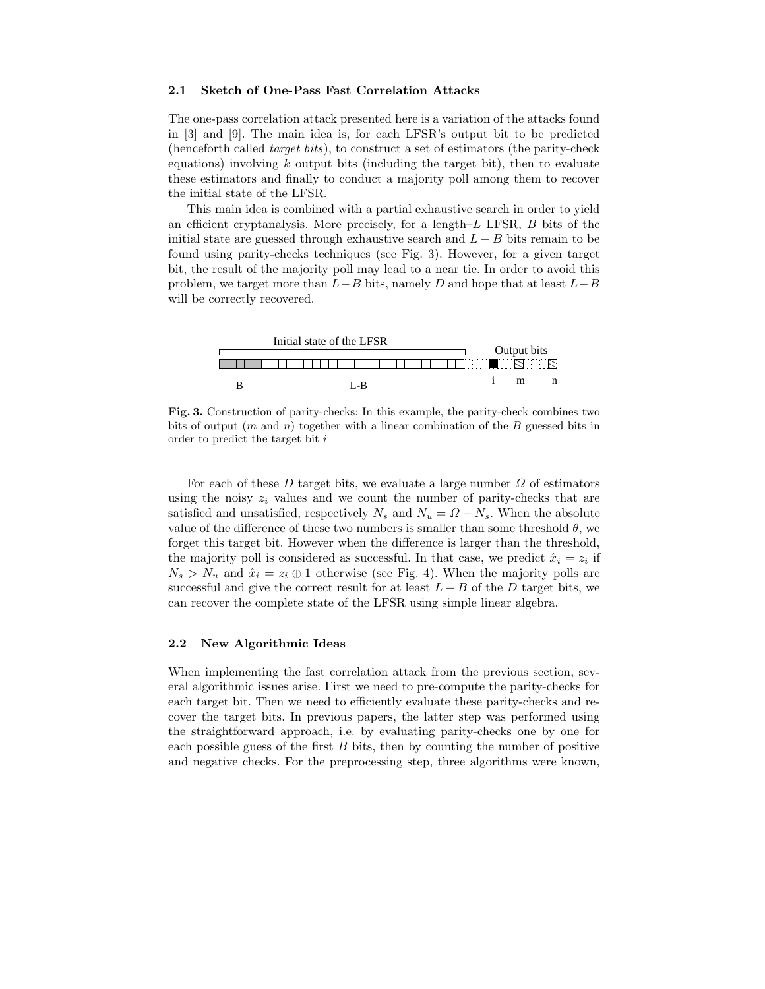#### 2.1 Sketch of One-Pass Fast Correlation Attacks

The one-pass correlation attack presented here is a variation of the attacks found in [3] and [9]. The main idea is, for each LFSR's output bit to be predicted (henceforth called target bits), to construct a set of estimators (the parity-check equations) involving  $k$  output bits (including the target bit), then to evaluate these estimators and finally to conduct a majority poll among them to recover the initial state of the LFSR.

This main idea is combined with a partial exhaustive search in order to yield an efficient cryptanalysis. More precisely, for a length–L LFSR,  $B$  bits of the initial state are guessed through exhaustive search and  $L - B$  bits remain to be found using parity-checks techniques (see Fig. 3). However, for a given target bit, the result of the majority poll may lead to a near tie. In order to avoid this problem, we target more than  $L-B$  bits, namely D and hope that at least  $L-B$ will be correctly recovered.



Fig. 3. Construction of parity-checks: In this example, the parity-check combines two bits of output  $(m \text{ and } n)$  together with a linear combination of the B guessed bits in order to predict the target bit i

For each of these D target bits, we evaluate a large number  $\Omega$  of estimators using the noisy  $z_i$  values and we count the number of parity-checks that are satisfied and unsatisfied, respectively  $N_s$  and  $N_u = \Omega - N_s$ . When the absolute value of the difference of these two numbers is smaller than some threshold  $\theta$ , we forget this target bit. However when the difference is larger than the threshold, the majority poll is considered as successful. In that case, we predict  $\hat{x}_i = z_i$  if  $N_s > N_u$  and  $\hat{x}_i = z_i \oplus 1$  otherwise (see Fig. 4). When the majority polls are successful and give the correct result for at least  $L - B$  of the D target bits, we can recover the complete state of the LFSR using simple linear algebra.

#### 2.2 New Algorithmic Ideas

When implementing the fast correlation attack from the previous section, several algorithmic issues arise. First we need to pre-compute the parity-checks for each target bit. Then we need to efficiently evaluate these parity-checks and recover the target bits. In previous papers, the latter step was performed using the straightforward approach, i.e. by evaluating parity-checks one by one for each possible guess of the first  $B$  bits, then by counting the number of positive and negative checks. For the preprocessing step, three algorithms were known,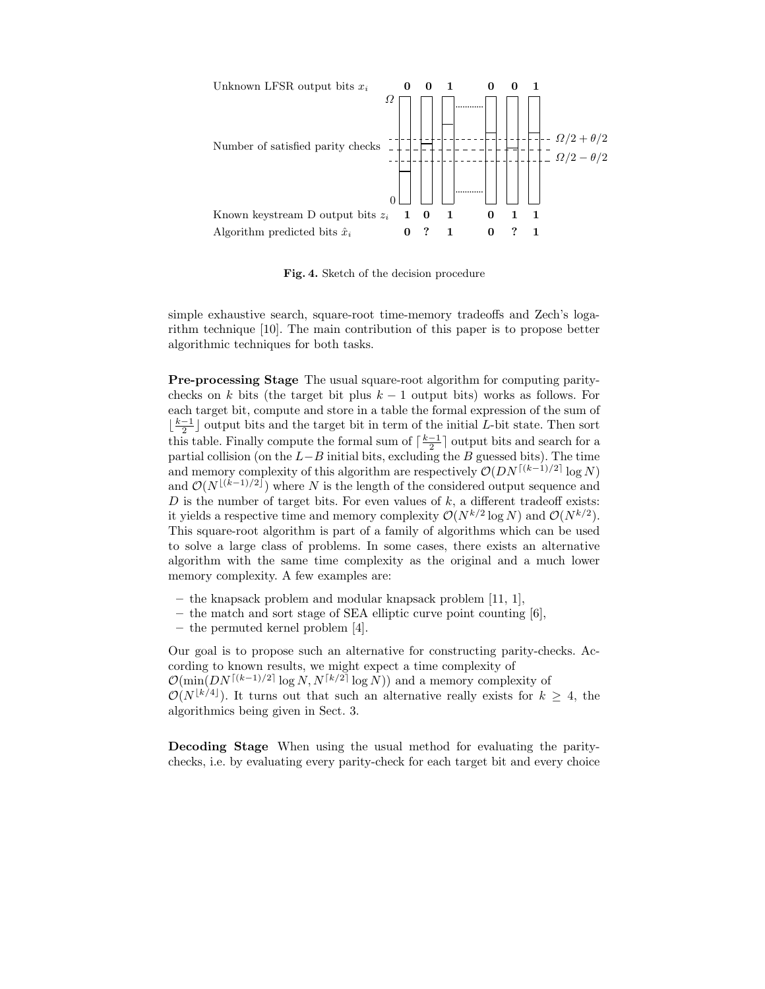

Fig. 4. Sketch of the decision procedure

simple exhaustive search, square-root time-memory tradeoffs and Zech's logarithm technique [10]. The main contribution of this paper is to propose better algorithmic techniques for both tasks.

Pre-processing Stage The usual square-root algorithm for computing paritychecks on k bits (the target bit plus  $k - 1$  output bits) works as follows. For each target bit, compute and store in a table the formal expression of the sum of  $\lfloor \frac{k-1}{2} \rfloor$  output bits and the target bit in term of the initial L-bit state. Then sort this table. Finally compute the formal sum of  $\lceil \frac{k-1}{2} \rceil$  output bits and search for a partial collision (on the  $L-B$  initial bits, excluding the B guessed bits). The time and memory complexity of this algorithm are respectively  $\mathcal{O}(DN^{[(k-1)/2]}\log N)$ and  $\mathcal{O}(N^{\lfloor (k-1)/2 \rfloor})$  where N is the length of the considered output sequence and  $D$  is the number of target bits. For even values of  $k$ , a different tradeoff exists: it yields a respective time and memory complexity  $\mathcal{O}(N^{k/2} \log N)$  and  $\mathcal{O}(N^{k/2})$ . This square-root algorithm is part of a family of algorithms which can be used to solve a large class of problems. In some cases, there exists an alternative algorithm with the same time complexity as the original and a much lower memory complexity. A few examples are:

- the knapsack problem and modular knapsack problem [11, 1],
- the match and sort stage of SEA elliptic curve point counting [6],
- the permuted kernel problem [4].

Our goal is to propose such an alternative for constructing parity-checks. According to known results, we might expect a time complexity of  $\mathcal{O}(\min(DN^{\lceil (k-1)/2 \rceil} \log N, N^{\lceil k/2 \rceil} \log N))$  and a memory complexity of  $\mathcal{O}(N^{\lfloor k/4 \rfloor})$ . It turns out that such an alternative really exists for  $k \geq 4$ , the algorithmics being given in Sect. 3.

Decoding Stage When using the usual method for evaluating the paritychecks, i.e. by evaluating every parity-check for each target bit and every choice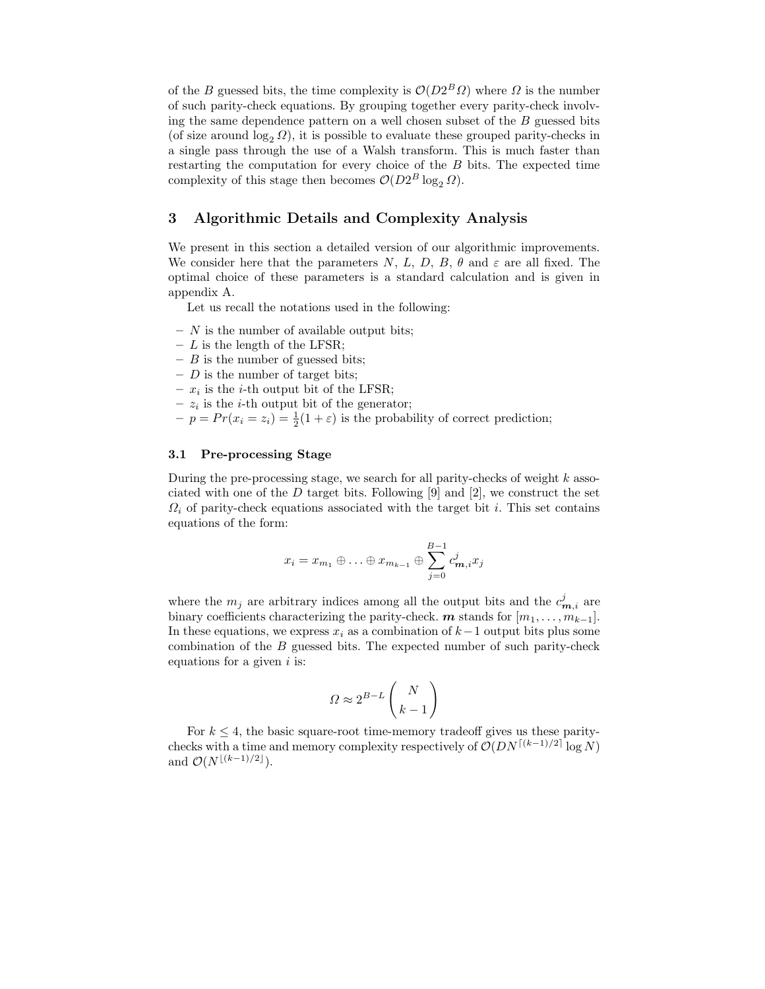of the B guessed bits, the time complexity is  $\mathcal{O}(D2^B \Omega)$  where  $\Omega$  is the number of such parity-check equations. By grouping together every parity-check involving the same dependence pattern on a well chosen subset of the  $B$  guessed bits (of size around  $\log_2 Q$ ), it is possible to evaluate these grouped parity-checks in a single pass through the use of a Walsh transform. This is much faster than restarting the computation for every choice of the B bits. The expected time complexity of this stage then becomes  $\mathcal{O}(D2^B \log_2 \Omega)$ .

## 3 Algorithmic Details and Complexity Analysis

We present in this section a detailed version of our algorithmic improvements. We consider here that the parameters N, L, D, B,  $\theta$  and  $\varepsilon$  are all fixed. The optimal choice of these parameters is a standard calculation and is given in appendix A.

Let us recall the notations used in the following:

- $N$  is the number of available output bits;
- $L$  is the length of the LFSR;
- $B$  is the number of guessed bits;
- $-$  D is the number of target bits;
- $x_i$  is the *i*-th output bit of the LFSR;
- $z_i$  is the *i*-th output bit of the generator;
- $-p = Pr(x_i = z_i) = \frac{1}{2}(1+\varepsilon)$  is the probability of correct prediction;

#### 3.1 Pre-processing Stage

During the pre-processing stage, we search for all parity-checks of weight  $k$  associated with one of the  $D$  target bits. Following  $[9]$  and  $[2]$ , we construct the set  $\Omega_i$  of parity-check equations associated with the target bit *i*. This set contains equations of the form:

$$
x_i = x_{m_1} \oplus \ldots \oplus x_{m_{k-1}} \oplus \sum_{j=0}^{B-1} c_{m,i}^j x_j
$$

where the  $m_j$  are arbitrary indices among all the output bits and the  $c_{m,i}^j$  are binary coefficients characterizing the parity-check.  $m$  stands for  $[m_1, \ldots, m_{k-1}].$ In these equations, we express  $x_i$  as a combination of  $k-1$  output bits plus some combination of the B guessed bits. The expected number of such parity-check equations for a given  $i$  is:

$$
\Omega \approx 2^{B-L} \left( \begin{array}{c} N \\ k-1 \end{array} \right)
$$

For  $k \leq 4$ , the basic square-root time-memory tradeoff gives us these paritychecks with a time and memory complexity respectively of  $\mathcal{O}(DN^{\lceil (k-1)/2 \rceil} \log N)$ and  $\mathcal{O}(N^{\lfloor (k-1)/2 \rfloor}).$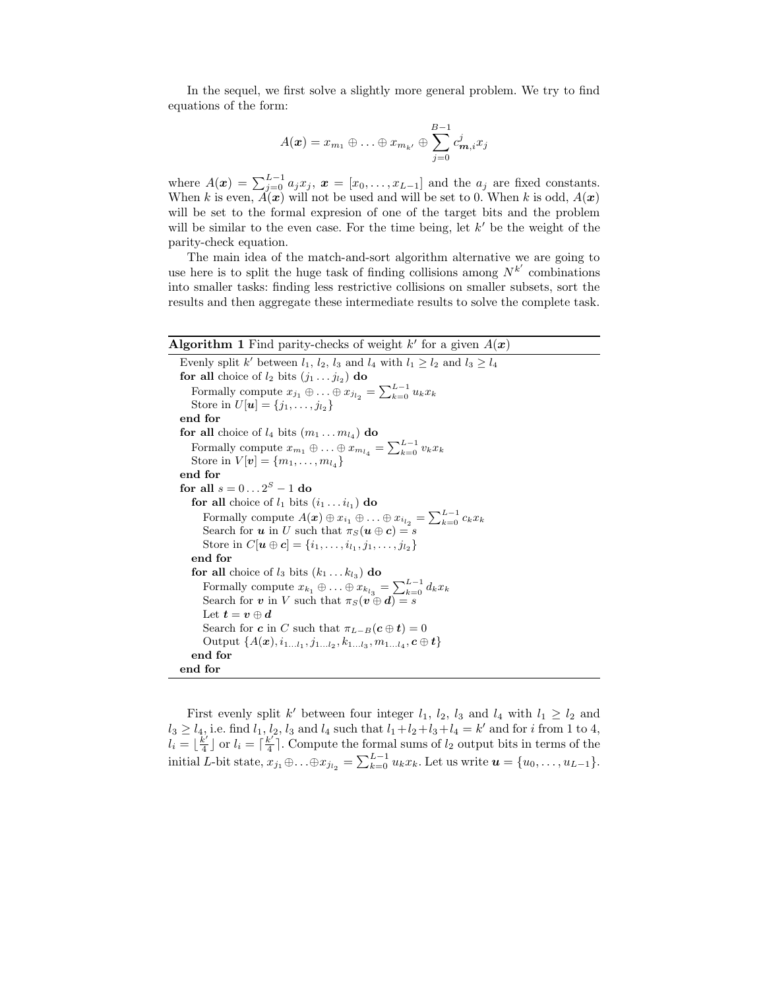In the sequel, we first solve a slightly more general problem. We try to find equations of the form:

$$
A(\boldsymbol{x}) = x_{m_1} \oplus \ldots \oplus x_{m_{k'}} \oplus \sum_{j=0}^{B-1} c_{m,i}^j x_j
$$

where  $A(\boldsymbol{x}) = \sum_{j=0}^{L-1} a_j x_j$ ,  $\boldsymbol{x} = [x_0, \ldots, x_{L-1}]$  and the  $a_j$  are fixed constants. When k is even,  $\overline{A(x)}$  will not be used and will be set to 0. When k is odd,  $A(x)$ will be set to the formal expresion of one of the target bits and the problem will be similar to the even case. For the time being, let  $k'$  be the weight of the parity-check equation.

The main idea of the match-and-sort algorithm alternative we are going to use here is to split the huge task of finding collisions among  $N^{k'}$  combinations into smaller tasks: finding less restrictive collisions on smaller subsets, sort the results and then aggregate these intermediate results to solve the complete task.

| <b>Algorithm 1</b> Find parity-checks of weight k' for a given $A(x)$                                       |
|-------------------------------------------------------------------------------------------------------------|
| Evenly split k' between $l_1$ , $l_2$ , $l_3$ and $l_4$ with $l_1 \geq l_2$ and $l_3 \geq l_4$              |
| <b>for all</b> choice of $l_2$ bits $(j_1 \ldots j_{l_2})$ <b>do</b>                                        |
| Formally compute $x_{j_1} \oplus \ldots \oplus x_{j_{l_2}} = \sum_{k=0}^{L-1} u_k x_k$                      |
| Store in $U[u] = \{j_1, , j_{l_2}\}\$                                                                       |
| end for                                                                                                     |
| for all choice of $l_4$ bits $(m_1 \ldots m_{l_4})$ do                                                      |
| Formally compute $x_{m_1} \oplus \ldots \oplus x_{m_{l_4}} = \sum_{k=0}^{L-1} v_k x_k$                      |
| Store in $V[\mathbf{v}] = \{m_1, \ldots, m_{l_4}\}\$                                                        |
| end for                                                                                                     |
| for all $s = 02^{S} - 1$ do                                                                                 |
| <b>for all</b> choice of $l_1$ bits $(i_1 \ldots i_{l_1})$ <b>do</b>                                        |
| Formally compute $A(\mathbf{x}) \oplus x_{i_1} \oplus \ldots \oplus x_{i_{l_n}} = \sum_{k=0}^{L-1} c_k x_k$ |
| Search for <b>u</b> in U such that $\pi_S(u \oplus c) = s$                                                  |
| Store in $C[\mathbf{u} \oplus \mathbf{c}] = \{i_1, \ldots, i_l, j_1, \ldots, j_l\}$                         |
| end for                                                                                                     |
| for all choice of $l_3$ bits $(k_1 \ldots k_{l_3})$ do                                                      |
| Formally compute $x_{k_1} \oplus \ldots \oplus x_{k_{l_2}} = \sum_{k=0}^{L-1} d_k x_k$                      |
| Search for v in V such that $\pi_S(v \oplus d) = s$                                                         |
| Let $t = v \oplus d$                                                                                        |
| Search for c in C such that $\pi_{L-B}(c \oplus t) = 0$                                                     |
| Output $\{A(\bm{x}), i_{1l_1}, j_{1l_2}, k_{1l_3}, m_{1l_4}, \bm{c} \oplus \bm{t}\}\$                       |
| end for                                                                                                     |
| end for                                                                                                     |

First evenly split k' between four integer  $l_1$ ,  $l_2$ ,  $l_3$  and  $l_4$  with  $l_1 \geq l_2$  and  $l_3 \ge l_4$ , i.e. find  $l_1, l_2, l_3$  and  $l_4$  such that  $l_1 + l_2 + l_3 + l_4 = k'$  and for i from 1 to 4,  $l_i = \lfloor \frac{k'}{4} \rfloor$  $\frac{k'}{4}$  or  $l_i = \lceil \frac{k'}{4} \rceil$  $\frac{k}{4}$ . Compute the formal sums of  $l_2$  output bits in terms of the initial L-bit state,  $x_{j_1} \oplus \ldots \oplus x_{j_{l_2}} = \sum_{k=0}^{L-1} u_k x_k$ . Let us write  $\boldsymbol{u} = \{u_0, \ldots, u_{L-1}\}.$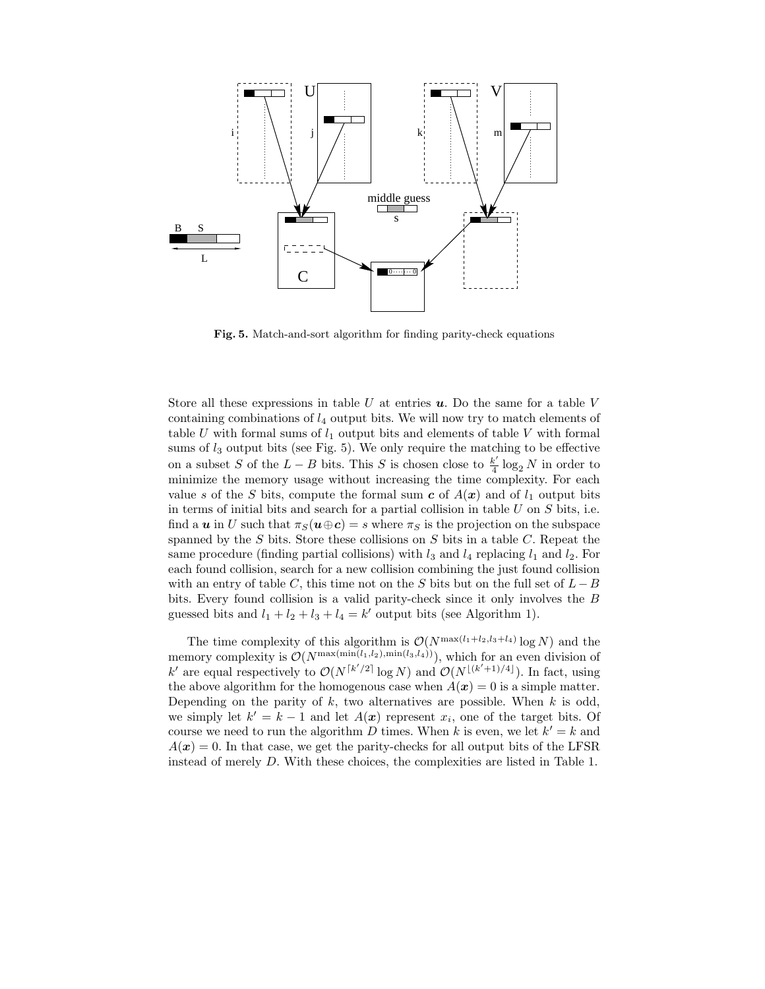

Fig. 5. Match-and-sort algorithm for finding parity-check equations

Store all these expressions in table  $U$  at entries  $u$ . Do the same for a table  $V$ containing combinations of  $l_4$  output bits. We will now try to match elements of table U with formal sums of  $l_1$  output bits and elements of table V with formal sums of  $l_3$  output bits (see Fig. 5). We only require the matching to be effective on a subset S of the  $L - B$  bits. This S is chosen close to  $\frac{k'}{4}$  $\frac{\varepsilon}{4} \log_2 N$  in order to minimize the memory usage without increasing the time complexity. For each value s of the S bits, compute the formal sum c of  $A(x)$  and of  $l_1$  output bits in terms of initial bits and search for a partial collision in table  $U$  on  $S$  bits, i.e. find a u in U such that  $\pi_S(u\oplus c) = s$  where  $\pi_S$  is the projection on the subspace spanned by the  $S$  bits. Store these collisions on  $S$  bits in a table  $C$ . Repeat the same procedure (finding partial collisions) with  $l_3$  and  $l_4$  replacing  $l_1$  and  $l_2$ . For each found collision, search for a new collision combining the just found collision with an entry of table C, this time not on the S bits but on the full set of  $L-B$ bits. Every found collision is a valid parity-check since it only involves the B guessed bits and  $l_1 + l_2 + l_3 + l_4 = k'$  output bits (see Algorithm 1).

The time complexity of this algorithm is  $\mathcal{O}(N^{\max(l_1+l_2,l_3+l_4)}\log N)$  and the memory complexity is  $\mathcal{O}(N^{\max(\min(l_1,l_2),\min(l_3,l_4))})$ , which for an even division of k' are equal respectively to  $\mathcal{O}(N^{\lceil k'/2 \rceil} \log N)$  and  $\mathcal{O}(N^{\lfloor (k'+1)/4 \rfloor})$ . In fact, using the above algorithm for the homogenous case when  $A(x) = 0$  is a simple matter. Depending on the parity of  $k$ , two alternatives are possible. When  $k$  is odd, we simply let  $k' = k - 1$  and let  $A(x)$  represent  $x_i$ , one of the target bits. Of course we need to run the algorithm D times. When k is even, we let  $k' = k$  and  $A(x) = 0$ . In that case, we get the parity-checks for all output bits of the LFSR instead of merely D. With these choices, the complexities are listed in Table 1.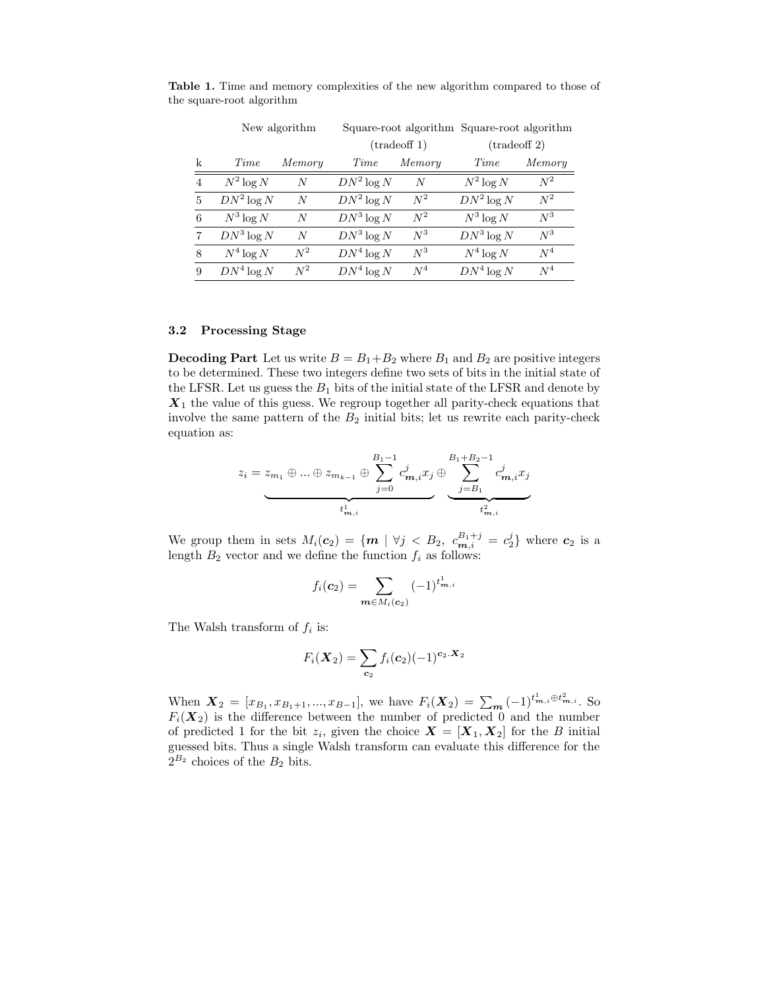|                | New algorithm |        |               |        | Square-root algorithm Square-root algorithm |        |
|----------------|---------------|--------|---------------|--------|---------------------------------------------|--------|
|                |               |        | (tradeoff 1)  |        | (tradeoff 2)                                |        |
| k              | Time          | Memory | Time          | Memory | Time                                        | Memory |
| $\overline{4}$ | $N^2 \log N$  | N      | $DN^2 \log N$ | N      | $N^2 \log N$                                | $N^2$  |
| 5              | $DN^2\log N$  | N      | $DN^2 \log N$ | $N^2$  | $DN^2\log N$                                | $N^2$  |
| 6              | $N^3 \log N$  | N      | $DN^3$ log N  | $N^2$  | $N^3 \log N$                                | $N^3$  |
|                | $DN^3 \log N$ | N      | $DN^3$ log N  | $N^3$  | $DN^3 \log N$                               | $N^3$  |
| 8              | $N^4 \log N$  | $N^2$  | $DN^4\log N$  | $N^3$  | $N^4 \log N$                                | $N^4$  |
| 9              | $DN^4\log N$  | $N^2$  | $DN^4\log N$  | $N^4$  | $DN^4\log N$                                | $N^4$  |

Table 1. Time and memory complexities of the new algorithm compared to those of the square-root algorithm

#### 3.2 Processing Stage

**Decoding Part** Let us write  $B = B_1 + B_2$  where  $B_1$  and  $B_2$  are positive integers to be determined. These two integers define two sets of bits in the initial state of the LFSR. Let us guess the  $B_1$  bits of the initial state of the LFSR and denote by  $X_1$  the value of this guess. We regroup together all parity-check equations that involve the same pattern of the  $B_2$  initial bits; let us rewrite each parity-check equation as:

$$
z_i = z_{m_1} \oplus ... \oplus z_{m_{k-1}} \oplus \sum_{j=0}^{B_1-1} c_{\boldsymbol{m},i}^j x_j \oplus \underbrace{\sum_{j=B_1}^{B_1+B_2-1} c_{\boldsymbol{m},i}^j x_j}_{t_{\boldsymbol{m},i}^1}
$$

We group them in sets  $M_i(c_2) = \{m \mid \forall j \langle B_2, c_{m,i}^{B_1+j} = c_2^j\}$  where  $c_2$  is a length  $B_2$  vector and we define the function  $f_i$  as follows:

$$
f_i(c_2) = \sum_{\mathbf{m} \in M_i(c_2)} (-1)^{t_{\mathbf{m},i}^1}
$$

The Walsh transform of  $f_i$  is:

$$
F_i(\boldsymbol{X}_2) = \sum_{c_2} f_i(c_2)(-1)^{c_2 \cdot \boldsymbol{X}_2}
$$

When  $X_2 = [x_{B_1}, x_{B_1+1}, ..., x_{B-1}]$ , we have  $F_i(X_2) = \sum_{m} (-1)^{t_{m,i}^1 \oplus t_{m,i}^2}$ . So  $F_i(\boldsymbol{X}_2)$  is the difference between the number of predicted 0 and the number of predicted 1 for the bit  $z_i$ , given the choice  $\mathbf{X} = [\mathbf{X}_1, \mathbf{X}_2]$  for the B initial guessed bits. Thus a single Walsh transform can evaluate this difference for the  $2^{B_2}$  choices of the  $B_2$  bits.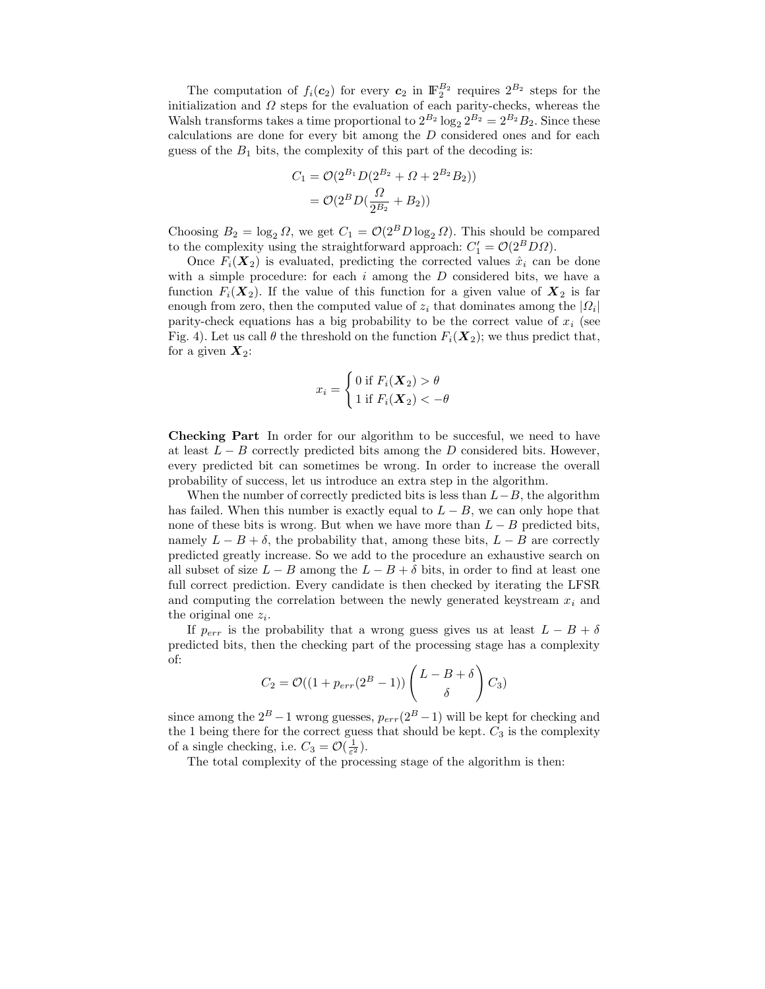The computation of  $f_i(c_2)$  for every  $c_2$  in  $\mathbb{F}_2^{B_2}$  requires  $2^{B_2}$  steps for the initialization and  $\Omega$  steps for the evaluation of each parity-checks, whereas the Walsh transforms takes a time proportional to  $2^{B_2} \log_2 2^{B_2} = 2^{B_2} B_2$ . Since these calculations are done for every bit among the  $D$  considered ones and for each guess of the  $B_1$  bits, the complexity of this part of the decoding is:

$$
C_1 = \mathcal{O}(2^{B_1} D(2^{B_2} + \Omega + 2^{B_2} B_2))
$$
  
=  $\mathcal{O}(2^B D(\frac{\Omega}{2^{B_2}} + B_2))$ 

Choosing  $B_2 = \log_2 \Omega$ , we get  $C_1 = \mathcal{O}(2^B D \log_2 \Omega)$ . This should be compared to the complexity using the straightforward approach:  $C_1' = \mathcal{O}(2^B D \Omega)$ .

Once  $F_i(\boldsymbol{X}_2)$  is evaluated, predicting the corrected values  $\hat{x}_i$  can be done with a simple procedure: for each  $i$  among the  $D$  considered bits, we have a function  $F_i(\boldsymbol{X}_2)$ . If the value of this function for a given value of  $\boldsymbol{X}_2$  is far enough from zero, then the computed value of  $z_i$  that dominates among the  $|Q_i|$ parity-check equations has a big probability to be the correct value of  $x_i$  (see Fig. 4). Let us call  $\theta$  the threshold on the function  $F_i(\boldsymbol{X}_2)$ ; we thus predict that, for a given  $X_2$ :

$$
x_i = \begin{cases} 0 \text{ if } F_i(\mathbf{X}_2) > \theta \\ 1 \text{ if } F_i(\mathbf{X}_2) < -\theta \end{cases}
$$

Checking Part In order for our algorithm to be succesful, we need to have at least  $L - B$  correctly predicted bits among the D considered bits. However, every predicted bit can sometimes be wrong. In order to increase the overall probability of success, let us introduce an extra step in the algorithm.

When the number of correctly predicted bits is less than  $L-B$ , the algorithm has failed. When this number is exactly equal to  $L - B$ , we can only hope that none of these bits is wrong. But when we have more than  $L - B$  predicted bits, namely  $L - B + \delta$ , the probability that, among these bits,  $L - B$  are correctly predicted greatly increase. So we add to the procedure an exhaustive search on all subset of size  $L - B$  among the  $L - B + \delta$  bits, in order to find at least one full correct prediction. Every candidate is then checked by iterating the LFSR and computing the correlation between the newly generated keystream  $x_i$  and the original one  $z_i$ .

If  $p_{err}$  is the probability that a wrong guess gives us at least  $L - B + \delta$ predicted bits, then the checking part of the processing stage has a complexity of:

$$
C_2 = \mathcal{O}((1 + p_{err}(2^{B} - 1)) \left(\frac{L - B + \delta}{\delta}\right) C_3)
$$

since among the  $2^B - 1$  wrong guesses,  $p_{err}(2^B - 1)$  will be kept for checking and the 1 being there for the correct guess that should be kept.  $C_3$  is the complexity of a single checking, i.e.  $C_3 = \mathcal{O}(\frac{1}{\varepsilon^2})$ .

The total complexity of the processing stage of the algorithm is then: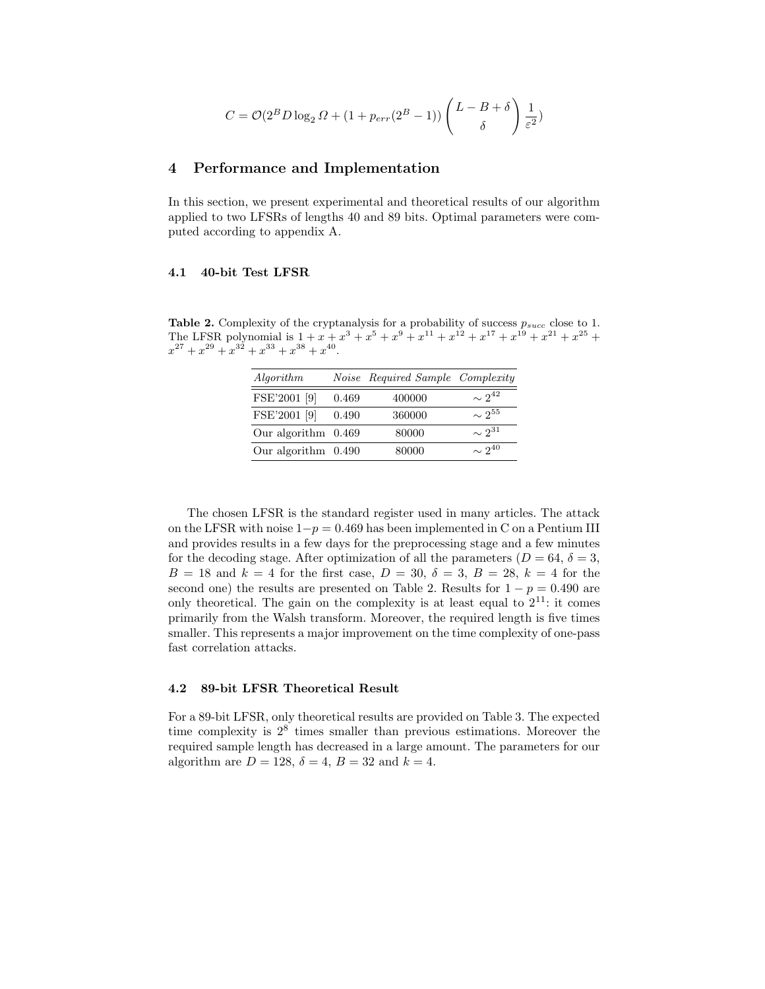$$
C = \mathcal{O}(2^{B}D\log_{2} \Omega + (1 + p_{err}(2^{B} - 1))\left(\frac{L - B + \delta}{\delta}\right)\frac{1}{\varepsilon^{2}})
$$

# 4 Performance and Implementation

In this section, we present experimental and theoretical results of our algorithm applied to two LFSRs of lengths 40 and 89 bits. Optimal parameters were computed according to appendix A.

#### 4.1 40-bit Test LFSR

**Table 2.** Complexity of the cryptanalysis for a probability of success  $p_{succ}$  close to 1. The LFSR polynomial is  $1 + x + x^3 + x^5 + x^9 + x^{11} + x^{12} + x^{17} + x^{19} + x^{21} + x^{25} + x^{11} + x^{10} + x^{11} + x^{10} + x^{11} + x^{10} + x^{11} + x^{10} + x^{11} + x^{10} + x^{11} + x^{10} + x^{11} + x^{10} + x^{11} + x^{10} + x^{11} + x^{10} + x^{11} + x^{11} + x^{10} + x^{11} + x^{10} + x^{11} + x$  $x^{27} + x^{29} + x^{32} + x^{33} + x^{38} + x^{40}.$ 

| Algorithm             |       | Noise Required Sample Complexity |               |
|-----------------------|-------|----------------------------------|---------------|
| FSE'2001 [9]          | 0.469 | 400000                           | $\sim 2^{42}$ |
| FSE'2001 [9]          | 0.490 | 360000                           | $\sim 2^{55}$ |
| Our algorithm $0.469$ |       | 80000                            | $\sim 2^{31}$ |
| Our algorithm $0.490$ |       | 80000                            | $\sim 2^{40}$ |

The chosen LFSR is the standard register used in many articles. The attack on the LFSR with noise  $1-p = 0.469$  has been implemented in C on a Pentium III and provides results in a few days for the preprocessing stage and a few minutes for the decoding stage. After optimization of all the parameters  $(D = 64, \delta = 3,$  $B = 18$  and  $k = 4$  for the first case,  $D = 30$ ,  $\delta = 3$ ,  $B = 28$ ,  $k = 4$  for the second one) the results are presented on Table 2. Results for  $1 - p = 0.490$  are only theoretical. The gain on the complexity is at least equal to  $2^{11}$ : it comes primarily from the Walsh transform. Moreover, the required length is five times smaller. This represents a major improvement on the time complexity of one-pass fast correlation attacks.

#### 4.2 89-bit LFSR Theoretical Result

For a 89-bit LFSR, only theoretical results are provided on Table 3. The expected time complexity is  $2^8$  times smaller than previous estimations. Moreover the required sample length has decreased in a large amount. The parameters for our algorithm are  $D = 128$ ,  $\delta = 4$ ,  $B = 32$  and  $k = 4$ .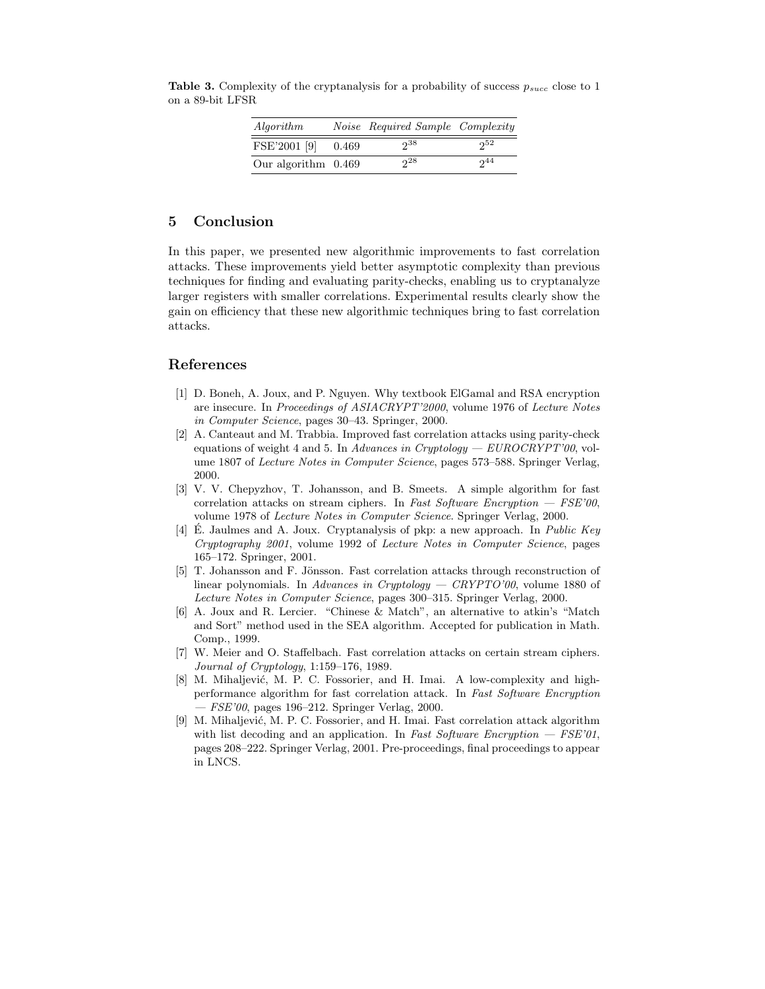| Algorithm             |       | Noise Required Sample Complexity |                 |
|-----------------------|-------|----------------------------------|-----------------|
| FSE'2001 [9]          | 0.469 | 238                              | 2 <sub>52</sub> |
| Our algorithm $0.469$ |       | 28                               | 244             |

**Table 3.** Complexity of the cryptanalysis for a probability of success  $p_{succ}$  close to 1 on a 89-bit LFSR

# 5 Conclusion

In this paper, we presented new algorithmic improvements to fast correlation attacks. These improvements yield better asymptotic complexity than previous techniques for finding and evaluating parity-checks, enabling us to cryptanalyze larger registers with smaller correlations. Experimental results clearly show the gain on efficiency that these new algorithmic techniques bring to fast correlation attacks.

## References

- [1] D. Boneh, A. Joux, and P. Nguyen. Why textbook ElGamal and RSA encryption are insecure. In Proceedings of ASIACRYPT'2000, volume 1976 of Lecture Notes in Computer Science, pages 30–43. Springer, 2000.
- [2] A. Canteaut and M. Trabbia. Improved fast correlation attacks using parity-check equations of weight 4 and 5. In Advances in Cryptology —  $EUROCRYPT'00$ , volume 1807 of Lecture Notes in Computer Science, pages 573–588. Springer Verlag, 2000.
- [3] V. V. Chepyzhov, T. Johansson, and B. Smeets. A simple algorithm for fast correlation attacks on stream ciphers. In Fast Software Encryption  $- FSE' 00$ , volume 1978 of Lecture Notes in Computer Science. Springer Verlag, 2000.
- [4] E. Jaulmes and A. Joux. Cryptanalysis of pkp: a new approach. In Public Key Cryptography 2001, volume 1992 of Lecture Notes in Computer Science, pages 165–172. Springer, 2001.
- [5] T. Johansson and F. Jönsson. Fast correlation attacks through reconstruction of linear polynomials. In Advances in Cryptology  $-$  CRYPTO'00, volume 1880 of Lecture Notes in Computer Science, pages 300–315. Springer Verlag, 2000.
- [6] A. Joux and R. Lercier. "Chinese & Match", an alternative to atkin's "Match and Sort" method used in the SEA algorithm. Accepted for publication in Math. Comp., 1999.
- [7] W. Meier and O. Staffelbach. Fast correlation attacks on certain stream ciphers. Journal of Cryptology, 1:159–176, 1989.
- [8] M. Mihaljević, M. P. C. Fossorier, and H. Imai. A low-complexity and highperformance algorithm for fast correlation attack. In Fast Software Encryption  $-$  FSE'00, pages 196-212. Springer Verlag, 2000.
- [9] M. Mihaljević, M. P. C. Fossorier, and H. Imai. Fast correlation attack algorithm with list decoding and an application. In Fast Software Encryption  $-$  FSE'01, pages 208–222. Springer Verlag, 2001. Pre-proceedings, final proceedings to appear in LNCS.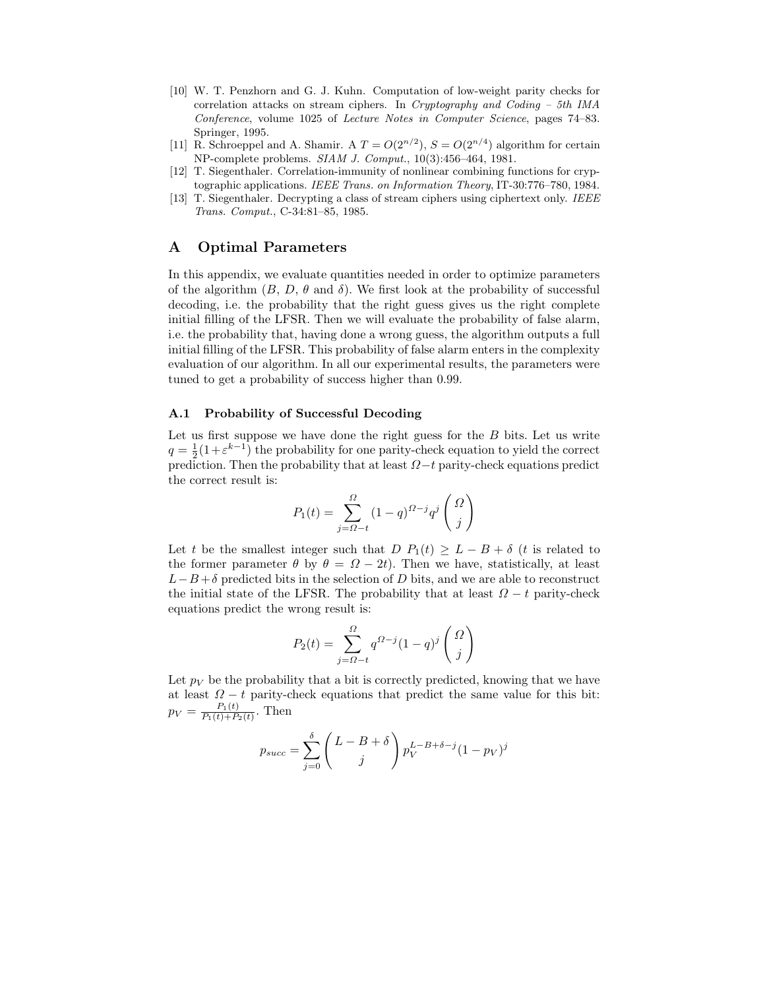- [10] W. T. Penzhorn and G. J. Kuhn. Computation of low-weight parity checks for correlation attacks on stream ciphers. In Cryptography and Coding – 5th IMA Conference, volume 1025 of Lecture Notes in Computer Science, pages 74–83. Springer, 1995.
- [11] R. Schroeppel and A. Shamir. A  $T = O(2^{n/2})$ ,  $S = O(2^{n/4})$  algorithm for certain NP-complete problems.  $SIAM J. Comput.$   $10(3):456-464, 1981.$
- [12] T. Siegenthaler. Correlation-immunity of nonlinear combining functions for cryptographic applications. IEEE Trans. on Information Theory, IT-30:776–780, 1984.
- [13] T. Siegenthaler. Decrypting a class of stream ciphers using ciphertext only. IEEE Trans. Comput., C-34:81–85, 1985.

# A Optimal Parameters

In this appendix, we evaluate quantities needed in order to optimize parameters of the algorithm  $(B, D, \theta \text{ and } \delta)$ . We first look at the probability of successful decoding, i.e. the probability that the right guess gives us the right complete initial filling of the LFSR. Then we will evaluate the probability of false alarm, i.e. the probability that, having done a wrong guess, the algorithm outputs a full initial filling of the LFSR. This probability of false alarm enters in the complexity evaluation of our algorithm. In all our experimental results, the parameters were tuned to get a probability of success higher than 0.99.

### A.1 Probability of Successful Decoding

Let us first suppose we have done the right guess for the  $B$  bits. Let us write  $q = \frac{1}{2}(1 + \varepsilon^{k-1})$  the probability for one parity-check equation to yield the correct prediction. Then the probability that at least  $\Omega-t$  parity-check equations predict the correct result is:

$$
P_1(t) = \sum_{j=\Omega-t}^{\Omega} (1-q)^{\Omega-j} q^j \begin{pmatrix} \Omega \\ j \end{pmatrix}
$$

Let t be the smallest integer such that  $D P_1(t) \geq L - B + \delta$  (t is related to the former parameter  $\theta$  by  $\theta = \Omega - 2t$ . Then we have, statistically, at least  $L-B+\delta$  predicted bits in the selection of D bits, and we are able to reconstruct the initial state of the LFSR. The probability that at least  $\Omega - t$  parity-check equations predict the wrong result is:

$$
P_2(t) = \sum_{j=\Omega-t}^{\Omega} q^{\Omega-j} (1-q)^j \binom{\Omega}{j}
$$

Let  $p_V$  be the probability that a bit is correctly predicted, knowing that we have at least  $\Omega - t$  parity-check equations that predict the same value for this bit:  $p_V = \frac{P_1(t)}{P_1(t)+P_2}$  $\frac{P_1(t)}{P_1(t)+P_2(t)}$ . Then

$$
p_{succ} = \sum_{j=0}^{\delta} \left( \frac{L-B+\delta}{j} \right) p_V^{L-B+\delta-j} (1-p_V)^j
$$